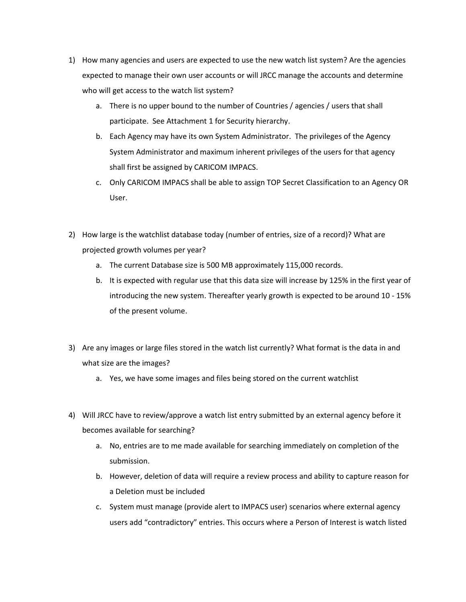- 1) How many agencies and users are expected to use the new watch list system? Are the agencies expected to manage their own user accounts or will JRCC manage the accounts and determine who will get access to the watch list system?
	- a. There is no upper bound to the number of Countries / agencies / users that shall participate. See Attachment 1 for Security hierarchy.
	- b. Each Agency may have its own System Administrator. The privileges of the Agency System Administrator and maximum inherent privileges of the users for that agency shall first be assigned by CARICOM IMPACS.
	- c. Only CARICOM IMPACS shall be able to assign TOP Secret Classification to an Agency OR User.
- 2) How large is the watchlist database today (number of entries, size of a record)? What are projected growth volumes per year?
	- a. The current Database size is 500 MB approximately 115,000 records.
	- b. It is expected with regular use that this data size will increase by 125% in the first year of introducing the new system. Thereafter yearly growth is expected to be around 10 - 15% of the present volume.
- 3) Are any images or large files stored in the watch list currently? What format is the data in and what size are the images?
	- a. Yes, we have some images and files being stored on the current watchlist
- 4) Will JRCC have to review/approve a watch list entry submitted by an external agency before it becomes available for searching?
	- a. No, entries are to me made available for searching immediately on completion of the submission.
	- b. However, deletion of data will require a review process and ability to capture reason for a Deletion must be included
	- c. System must manage (provide alert to IMPACS user) scenarios where external agency users add "contradictory" entries. This occurs where a Person of Interest is watch listed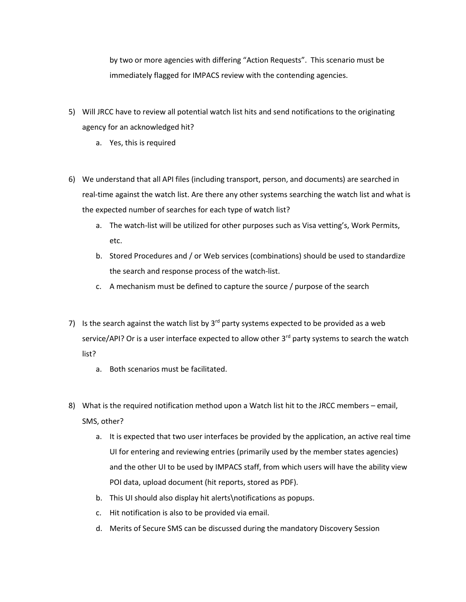by two or more agencies with differing "Action Requests". This scenario must be immediately flagged for IMPACS review with the contending agencies.

- 5) Will JRCC have to review all potential watch list hits and send notifications to the originating agency for an acknowledged hit?
	- a. Yes, this is required
- 6) We understand that all API files (including transport, person, and documents) are searched in real-time against the watch list. Are there any other systems searching the watch list and what is the expected number of searches for each type of watch list?
	- a. The watch-list will be utilized for other purposes such as Visa vetting's, Work Permits, etc.
	- b. Stored Procedures and / or Web services (combinations) should be used to standardize the search and response process of the watch-list.
	- c. A mechanism must be defined to capture the source / purpose of the search
- 7) Is the search against the watch list by  $3^{rd}$  party systems expected to be provided as a web service/API? Or is a user interface expected to allow other 3<sup>rd</sup> party systems to search the watch list?
	- a. Both scenarios must be facilitated.
- 8) What is the required notification method upon a Watch list hit to the JRCC members email, SMS, other?
	- a. It is expected that two user interfaces be provided by the application, an active real time UI for entering and reviewing entries (primarily used by the member states agencies) and the other UI to be used by IMPACS staff, from which users will have the ability view POI data, upload document (hit reports, stored as PDF).
	- b. This UI should also display hit alerts\notifications as popups.
	- c. Hit notification is also to be provided via email.
	- d. Merits of Secure SMS can be discussed during the mandatory Discovery Session